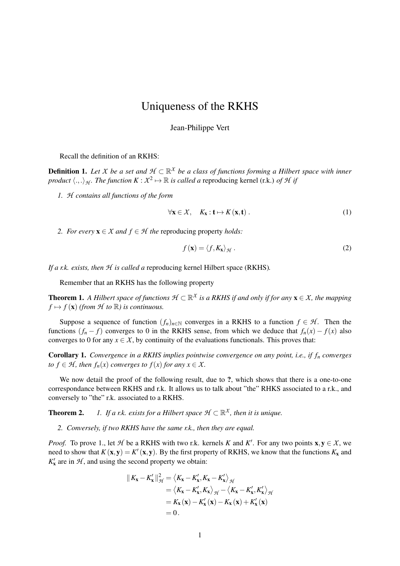## Uniqueness of the RKHS

## Jean-Philippe Vert

Recall the definition of an RKHS:

**Definition 1.** Let *X* be a set and  $\mathcal{H} \subset \mathbb{R}^X$  be a class of functions forming a Hilbert space with inner *product*  $\langle .,.\rangle_{H}$ . *The function*  $K : X^2 \mapsto \mathbb{R}$  *is called a* reproducing kernel (r.k.) *of H if* 

*1. H contains all functions of the form*

$$
\forall \mathbf{x} \in \mathcal{X}, \quad K_{\mathbf{x}} : \mathbf{t} \mapsto K(\mathbf{x}, \mathbf{t}). \tag{1}
$$

*2. For every*  $\mathbf{x} \in \mathcal{X}$  *and*  $f \in \mathcal{H}$  *the* reproducing property *holds:* 

$$
f(\mathbf{x}) = \langle f, K_{\mathbf{x}} \rangle_{\mathcal{H}}.
$$
 (2)

*If a r.k. exists, then H is called a* reproducing kernel Hilbert space (RKHS)*.*

Remember that an RKHS has the following property

**Theorem 1.** A Hilbert space of functions  $\mathcal{H} \subset \mathbb{R}^X$  is a RKHS if and only if for any  $\mathbf{x} \in \mathcal{X}$ , the mapping  $f \mapsto f(\mathbf{x})$  (from  $\mathcal{H}$  *to*  $\mathbb{R}$ ) *is continuous.* 

Suppose a sequence of function  $(f_n)_{n \in \mathbb{N}}$  converges in a RKHS to a function  $f \in \mathcal{H}$ . Then the functions  $(f_n - f)$  converges to 0 in the RKHS sense, from which we deduce that  $f_n(x) - f(x)$  also converges to 0 for any  $x \in X$ , by continuity of the evaluations functionals. This proves that:

<span id="page-0-0"></span>Corollary 1. *Convergence in a RKHS implies pointwise convergence on any point, i.e., if f<sup>n</sup> converges to*  $f \in \mathcal{H}$ *, then*  $f_n(x)$  *converges to*  $f(x)$  *for any*  $x \in \mathcal{X}$ *.* 

We now detail the proof of the following result, due to ?, which shows that there is a one-to-one correspondance between RKHS and r.k. It allows us to talk about "the" RHKS associated to a r.k., and conversely to "the" r.k. associated to a RKHS.

**Theorem 2.** *1. If a r.k. exists for a Hilbert space*  $\mathcal{H} \subset \mathbb{R}^X$ , then it is unique.

*2. Conversely, if two RKHS have the same r.k., then they are equal.*

*Proof.* To prove 1., let *H* be a RKHS with two r.k. kernels *K* and *K'*. For any two points  $x, y \in X$ , we need to show that  $K(x, y) = K'(x, y)$ . By the first property of RKHS, we know that the functions  $K_x$  and  $K'_x$  are in  $H$ , and using the second property we obtain:

$$
|| K_{\mathbf{x}} - K_{\mathbf{x}}'||_{\mathcal{H}}^2 = \langle K_{\mathbf{x}} - K_{\mathbf{x}}', K_{\mathbf{x}} - K_{\mathbf{x}}' \rangle_{\mathcal{H}}
$$
  
=  $\langle K_{\mathbf{x}} - K_{\mathbf{x}}', K_{\mathbf{x}} \rangle_{\mathcal{H}} - \langle K_{\mathbf{x}} - K_{\mathbf{x}}', K_{\mathbf{x}}' \rangle_{\mathcal{H}}$   
=  $K_{\mathbf{x}}(\mathbf{x}) - K_{\mathbf{x}}'(\mathbf{x}) - K_{\mathbf{x}}(\mathbf{x}) + K_{\mathbf{x}}'(\mathbf{x})$   
= 0.